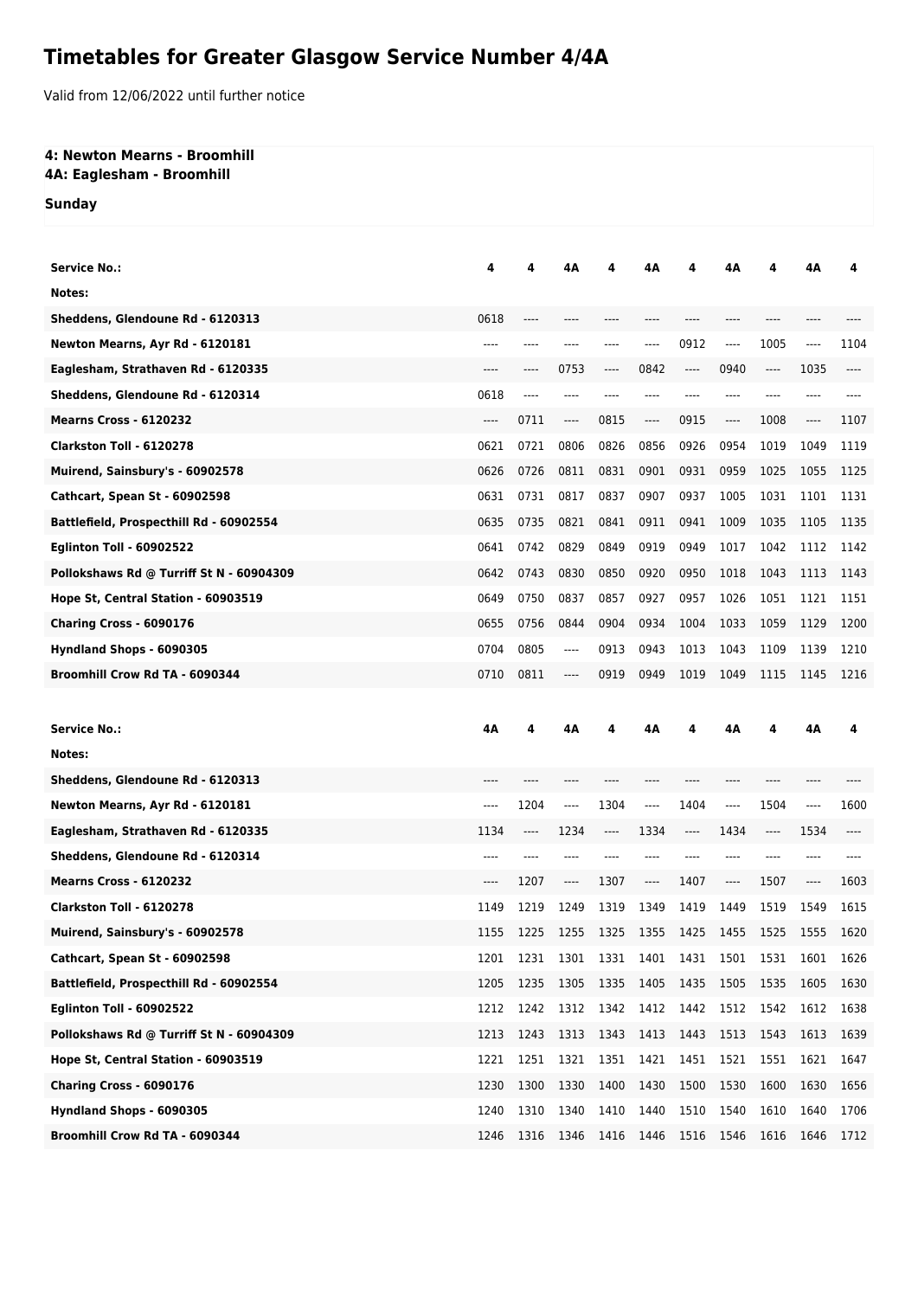## **Timetables for Greater Glasgow Service Number 4/4A**

Valid from 12/06/2022 until further notice

## **4: Newton Mearns - Broomhill 4A: Eaglesham - Broomhill**

**Sunday**

| <b>Service No.:</b>                      | 4            | 4    | 4Α                       | 4    | 4Α        | 4        | 4Α    | 4         | 4Α        | 4    |
|------------------------------------------|--------------|------|--------------------------|------|-----------|----------|-------|-----------|-----------|------|
| Notes:                                   |              |      |                          |      |           |          |       |           |           |      |
| Sheddens, Glendoune Rd - 6120313         | 0618         | ---- |                          |      |           |          | ----  |           |           |      |
| Newton Mearns, Ayr Rd - 6120181          | ----         | ---- |                          | ---- | ----      | 0912     | ----  | 1005      | $---$     | 1104 |
| Eaglesham, Strathaven Rd - 6120335       |              | ---- | 0753                     | ---- | 0842      | $\cdots$ | 0940  | ----      | 1035      |      |
|                                          | ----<br>0618 |      |                          |      |           |          |       |           |           |      |
| Sheddens, Glendoune Rd - 6120314         |              | ---- |                          |      |           | $---$    | ----  |           |           |      |
| <b>Mearns Cross - 6120232</b>            | ----         | 0711 | ----                     | 0815 | ----      | 0915     | $---$ | 1008      | $\cdots$  | 1107 |
| Clarkston Toll - 6120278                 | 0621         | 0721 | 0806                     | 0826 | 0856      | 0926     | 0954  | 1019      | 1049      | 1119 |
| Muirend, Sainsbury's - 60902578          | 0626         | 0726 | 0811                     | 0831 | 0901      | 0931     | 0959  | 1025      | 1055      | 1125 |
| Cathcart, Spean St - 60902598            | 0631         | 0731 | 0817                     | 0837 | 0907      | 0937     | 1005  | 1031      | 1101      | 1131 |
| Battlefield, Prospecthill Rd - 60902554  | 0635         | 0735 | 0821                     | 0841 | 0911      | 0941     | 1009  | 1035      | 1105      | 1135 |
| <b>Eglinton Toll - 60902522</b>          | 0641         | 0742 | 0829                     | 0849 | 0919      | 0949     | 1017  | 1042      | 1112      | 1142 |
| Pollokshaws Rd @ Turriff St N - 60904309 | 0642         | 0743 | 0830                     | 0850 | 0920      | 0950     | 1018  | 1043      | 1113      | 1143 |
| Hope St, Central Station - 60903519      | 0649         | 0750 | 0837                     | 0857 | 0927      | 0957     | 1026  | 1051      | 1121      | 1151 |
| Charing Cross - 6090176                  | 0655         | 0756 | 0844                     | 0904 | 0934      | 1004     | 1033  | 1059      | 1129      | 1200 |
| Hyndland Shops - 6090305                 | 0704         | 0805 | ----                     | 0913 | 0943      | 1013     | 1043  | 1109      | 1139      | 1210 |
| Broomhill Crow Rd TA - 6090344           | 0710         | 0811 | $-----$                  | 0919 | 0949      | 1019     | 1049  | 1115      | 1145      | 1216 |
|                                          |              |      |                          |      |           |          |       |           |           |      |
|                                          |              |      |                          |      |           |          |       |           |           |      |
| <b>Service No.:</b>                      | 4Α           | 4    | 4Α                       | 4    | 4Α        | 4        | 4Α    | 4         | 4Α        | 4    |
| Notes:                                   |              |      |                          |      |           |          |       |           |           |      |
| Sheddens, Glendoune Rd - 6120313         | ----         |      |                          |      |           |          | ----  | ----      |           |      |
| Newton Mearns, Ayr Rd - 6120181          | $---$        | 1204 | $---$                    | 1304 | ----      | 1404     | ----  | 1504      | $-- -$    | 1600 |
| Eaglesham, Strathaven Rd - 6120335       | 1134         | ---- | 1234                     | ---- | 1334      | $---$    | 1434  | ----      | 1534      |      |
| Sheddens, Glendoune Rd - 6120314         | $---$        |      |                          |      |           | $---$    | ----  | ----      |           |      |
| <b>Mearns Cross - 6120232</b>            | $---$        | 1207 | $-----$                  | 1307 | ----      | 1407     | ----  | 1507      | $---$     | 1603 |
| Clarkston Toll - 6120278                 | 1149         | 1219 | 1249                     | 1319 | 1349      | 1419     | 1449  | 1519      | 1549      | 1615 |
| Muirend, Sainsbury's - 60902578          | 1155         | 1225 | 1255 1325 1355 1425 1455 |      |           |          |       | 1525      | 1555 1620 |      |
| <b>Cathcart, Spean St - 60902598</b>     | 1201         | 1231 | 1301                     | 1331 | 1401 1431 |          | 1501  | 1531 1601 |           | 1626 |
| Battlefield, Prospecthill Rd - 60902554  | 1205         | 1235 | 1305                     | 1335 | 1405      | 1435     | 1505  | 1535      | 1605      | 1630 |
| <b>Eglinton Toll - 60902522</b>          | 1212         | 1242 | 1312                     | 1342 | 1412      | 1442     | 1512  | 1542      | 1612      | 1638 |
| Pollokshaws Rd @ Turriff St N - 60904309 | 1213         | 1243 | 1313                     | 1343 | 1413      | 1443     | 1513  | 1543      | 1613      | 1639 |
| Hope St, Central Station - 60903519      | 1221         | 1251 | 1321                     | 1351 | 1421      | 1451     | 1521  | 1551      | 1621      | 1647 |
| Charing Cross - 6090176                  | 1230         | 1300 | 1330                     | 1400 | 1430      | 1500     | 1530  | 1600      | 1630      | 1656 |
| Hyndland Shops - 6090305                 | 1240         | 1310 | 1340                     | 1410 | 1440      | 1510     | 1540  | 1610      | 1640      | 1706 |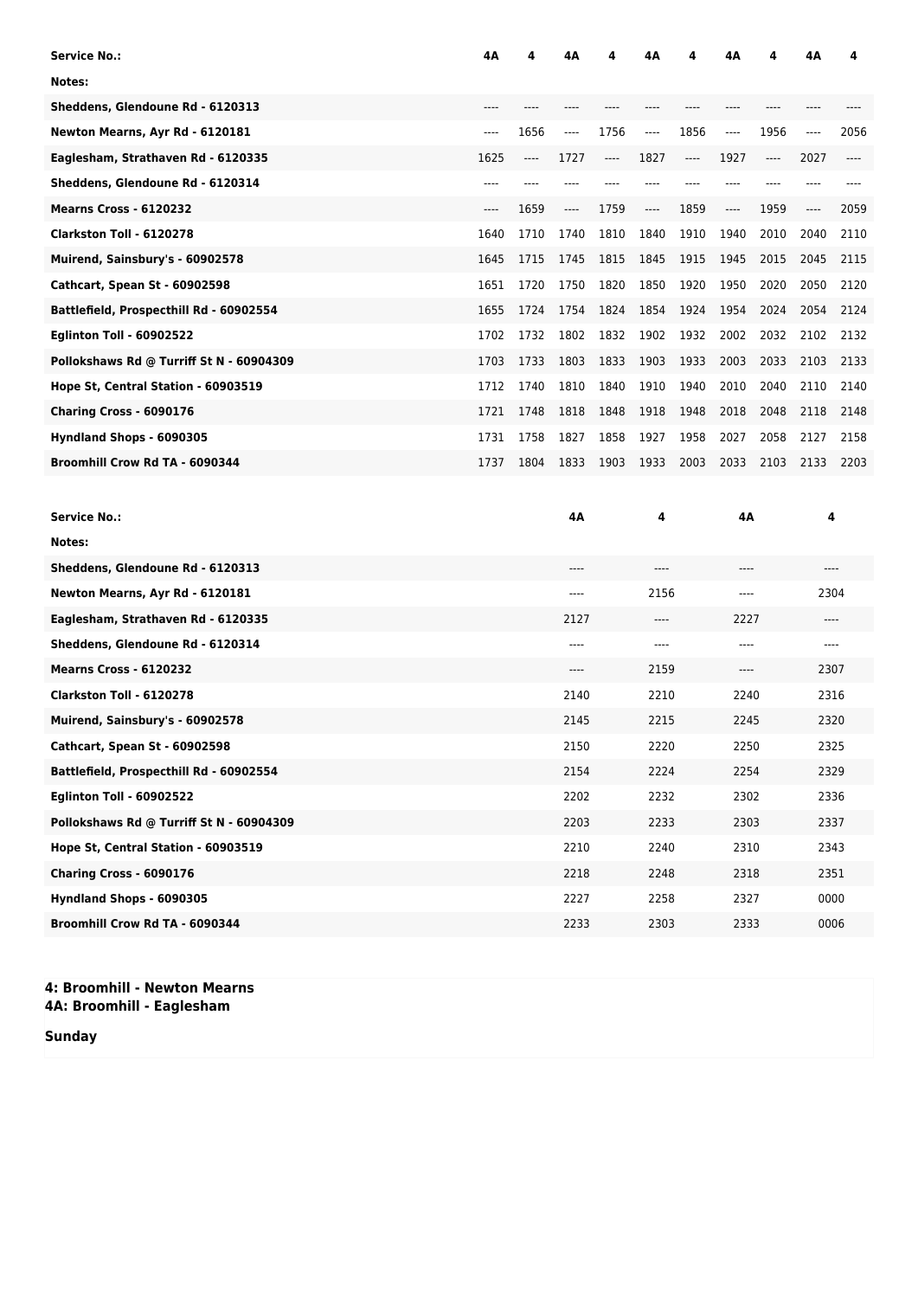| <b>Service No.:</b>                      | 4Α      |      | 4Δ    |      | 4Δ    | 4     | 4Α    |       | ΔΔ    | 4    |
|------------------------------------------|---------|------|-------|------|-------|-------|-------|-------|-------|------|
| Notes:                                   |         |      |       |      |       |       |       |       |       |      |
| Sheddens, Glendoune Rd - 6120313         | $--- -$ |      |       |      |       |       | ----  |       |       |      |
| Newton Mearns, Ayr Rd - 6120181          | $---$   | 1656 | $---$ | 1756 | $---$ | 1856  | $---$ | 1956  | $---$ | 2056 |
| Eaglesham, Strathaven Rd - 6120335       | 1625    | ---- | 1727  | ---- | 1827  | $---$ | 1927  | $---$ | 2027  | ---- |
| Sheddens, Glendoune Rd - 6120314         | $---$   |      |       |      |       |       |       |       |       |      |
| <b>Mearns Cross - 6120232</b>            | $---$   | 1659 | $---$ | 1759 | $---$ | 1859  | $---$ | 1959  | $---$ | 2059 |
| Clarkston Toll - 6120278                 | 1640    | 1710 | 1740  | 1810 | 1840  | 1910  | 1940  | 2010  | 2040  | 2110 |
| Muirend, Sainsbury's - 60902578          | 1645    | 1715 | 1745  | 1815 | 1845  | 1915  | 1945  | 2015  | 2045  | 2115 |
| Cathcart, Spean St - 60902598            | 1651    | 1720 | 1750  | 1820 | 1850  | 1920  | 1950  | 2020  | 2050  | 2120 |
| Battlefield, Prospecthill Rd - 60902554  | 1655    | 1724 | 1754  | 1824 | 1854  | 1924  | 1954  | 2024  | 2054  | 2124 |
| <b>Eglinton Toll - 60902522</b>          | 1702    | 1732 | 1802  | 1832 | 1902  | 1932  | 2002  | 2032  | 2102  | 2132 |
| Pollokshaws Rd @ Turriff St N - 60904309 | 1703    | 1733 | 1803  | 1833 | 1903  | 1933  | 2003  | 2033  | 2103  | 2133 |
| Hope St, Central Station - 60903519      | 1712    | 1740 | 1810  | 1840 | 1910  | 1940  | 2010  | 2040  | 2110  | 2140 |
| Charing Cross - 6090176                  | 1721    | 1748 | 1818  | 1848 | 1918  | 1948  | 2018  | 2048  | 2118  | 2148 |
| Hyndland Shops - 6090305                 | 1731    | 1758 | 1827  | 1858 | 1927  | 1958  | 2027  | 2058  | 2127  | 2158 |
| Broomhill Crow Rd TA - 6090344           | 1737    | 1804 | 1833  | 1903 | 1933  | 2003  | 2033  | 2103  | 2133  | 2203 |
|                                          |         |      |       |      |       |       |       |       |       |      |
| <b>Service No.:</b>                      |         |      | 4A    |      | 4     |       | 4A    |       | 4     |      |
| $11 - 12 - 12$                           |         |      |       |      |       |       |       |       |       |      |

| Notes:                                   |           |         |         |       |
|------------------------------------------|-----------|---------|---------|-------|
| Sheddens, Glendoune Rd - 6120313         | $---$     | $-----$ | $-----$ | $---$ |
| Newton Mearns, Ayr Rd - 6120181          | $---$     | 2156    | $--- -$ | 2304  |
| Eaglesham, Strathaven Rd - 6120335       | 2127      | $--- -$ | 2227    | $---$ |
| Sheddens, Glendoune Rd - 6120314         | $- - - -$ | ----    | ----    | $---$ |
| <b>Mearns Cross - 6120232</b>            | $---$     | 2159    | ----    | 2307  |
| Clarkston Toll - 6120278                 | 2140      | 2210    | 2240    | 2316  |
| Muirend, Sainsbury's - 60902578          | 2145      | 2215    | 2245    | 2320  |
| Cathcart, Spean St - 60902598            | 2150      | 2220    | 2250    | 2325  |
| Battlefield, Prospecthill Rd - 60902554  | 2154      | 2224    | 2254    | 2329  |
| <b>Eglinton Toll - 60902522</b>          | 2202      | 2232    | 2302    | 2336  |
| Pollokshaws Rd @ Turriff St N - 60904309 | 2203      | 2233    | 2303    | 2337  |
| Hope St, Central Station - 60903519      | 2210      | 2240    | 2310    | 2343  |
| Charing Cross - 6090176                  | 2218      | 2248    | 2318    | 2351  |
| Hyndland Shops - 6090305                 | 2227      | 2258    | 2327    | 0000  |
| Broomhill Crow Rd TA - 6090344           | 2233      | 2303    | 2333    | 0006  |

## **4: Broomhill - Newton Mearns 4A: Broomhill - Eaglesham**

**Sunday**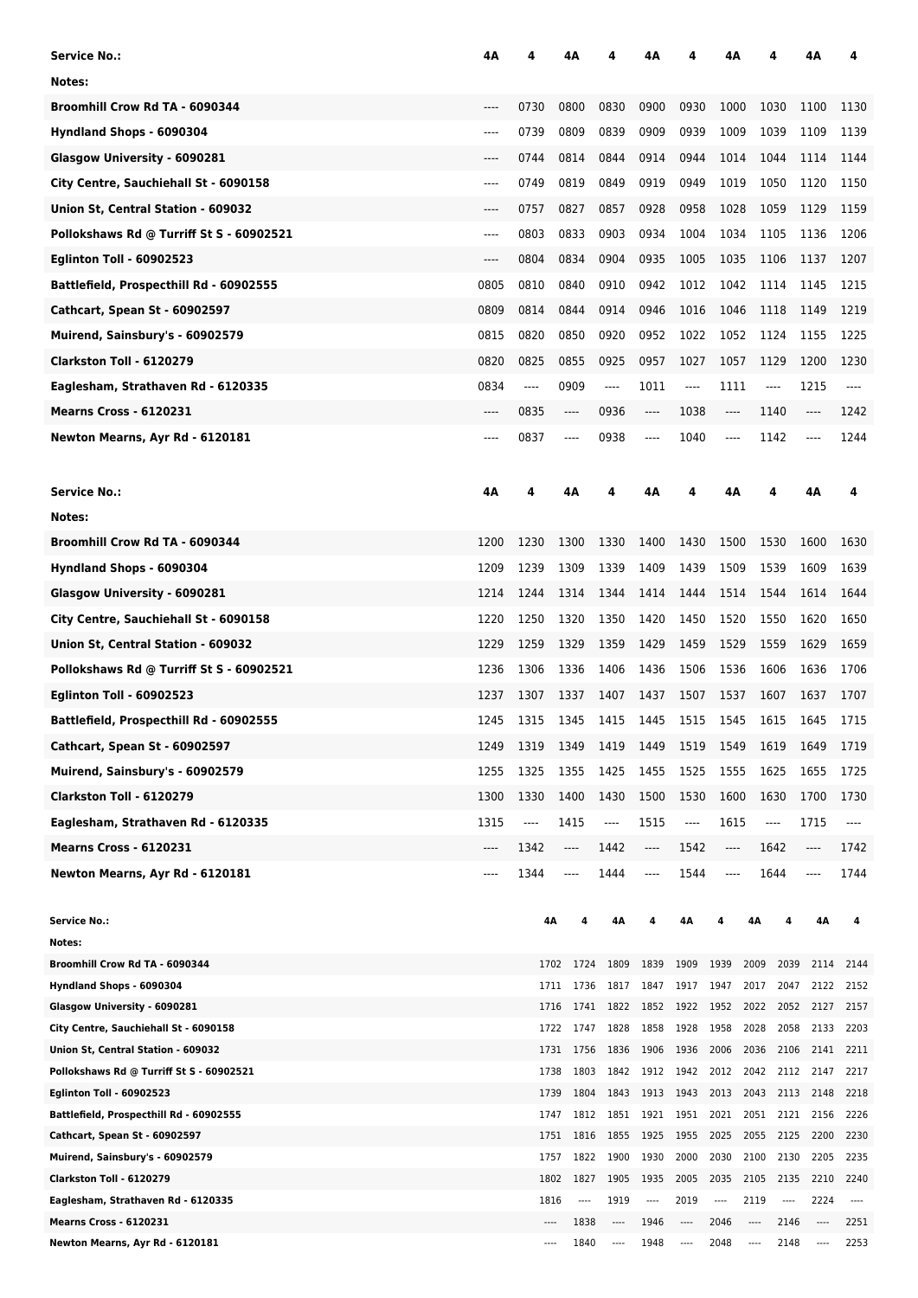| <b>Service No.:</b>                                            | 4Α    |              | 4Α                            |              | 4Α                               |              | 4Α                            |                         |              | 4Α                       | 4       |
|----------------------------------------------------------------|-------|--------------|-------------------------------|--------------|----------------------------------|--------------|-------------------------------|-------------------------|--------------|--------------------------|---------|
| Notes:                                                         |       |              |                               |              |                                  |              |                               |                         |              |                          |         |
| Broomhill Crow Rd TA - 6090344                                 | $---$ | 0730         | 0800                          | 0830         | 0900                             | 0930         | 1000                          | 1030                    |              | 1100                     | 1130    |
| Hyndland Shops - 6090304                                       | ----  | 0739         | 0809                          | 0839         | 0909                             | 0939         | 1009                          | 1039                    |              | 1109                     | 1139    |
| Glasgow University - 6090281                                   | ----  | 0744         | 0814                          | 0844         | 0914                             | 0944         | 1014                          | 1044                    |              | 1114                     | 1144    |
| City Centre, Sauchiehall St - 6090158                          | ----  | 0749         | 0819                          | 0849         | 0919                             | 0949         | 1019                          | 1050                    |              | 1120                     | 1150    |
| Union St, Central Station - 609032                             | ----  | 0757         | 0827                          | 0857         | 0928                             | 0958         | 1028                          | 1059                    |              | 1129                     | 1159    |
|                                                                |       |              |                               |              |                                  |              |                               |                         |              |                          |         |
| Pollokshaws Rd @ Turriff St S - 60902521                       | ----  | 0803         | 0833                          | 0903         | 0934                             | 1004         | 1034                          | 1105                    |              | 1136                     | 1206    |
| <b>Eglinton Toll - 60902523</b>                                | ----  | 0804         | 0834                          | 0904         | 0935                             | 1005         | 1035                          | 1106                    |              | 1137                     | 1207    |
| Battlefield, Prospecthill Rd - 60902555                        | 0805  | 0810         | 0840                          | 0910         | 0942                             | 1012         | 1042                          | 1114                    |              | 1145                     | 1215    |
| Cathcart, Spean St - 60902597                                  | 0809  | 0814         | 0844                          | 0914         | 0946                             | 1016         | 1046                          | 1118                    |              | 1149                     | 1219    |
| Muirend, Sainsbury's - 60902579                                | 0815  | 0820         | 0850                          | 0920         | 0952                             | 1022         | 1052                          | 1124                    |              | 1155                     | 1225    |
| Clarkston Toll - 6120279                                       | 0820  | 0825         | 0855                          | 0925         | 0957                             | 1027         | 1057                          | 1129                    |              | 1200                     | 1230    |
| Eaglesham, Strathaven Rd - 6120335                             | 0834  | ----         | 0909                          | ----         | 1011                             | ----         | 1111                          | ----                    |              | 1215                     | $-----$ |
| <b>Mearns Cross - 6120231</b>                                  | ----  | 0835         | $\hspace{1.5cm} \textbf{---}$ | 0936         | ----                             | 1038         | $\hspace{1.5cm} \textbf{---}$ | 1140                    |              | ----                     | 1242    |
| Newton Mearns, Ayr Rd - 6120181                                | ----  | 0837         |                               | 0938         | ----                             | 1040         | ----                          | 1142                    |              |                          | 1244    |
|                                                                |       |              |                               |              |                                  |              |                               |                         |              |                          |         |
| <b>Service No.:</b>                                            | 4Α    | 4            | 4Α                            |              | 4Α                               | 4            | 4Α                            | 4                       |              | 4Α                       | 4       |
| Notes:                                                         |       |              |                               |              |                                  |              |                               |                         |              |                          |         |
| Broomhill Crow Rd TA - 6090344                                 |       |              |                               |              |                                  |              |                               |                         |              |                          |         |
|                                                                | 1200  | 1230         | 1300                          | 1330         | 1400                             | 1430         | 1500                          | 1530                    |              | 1600                     | 1630    |
| Hyndland Shops - 6090304                                       | 1209  | 1239         | 1309                          | 1339         | 1409                             | 1439         | 1509                          | 1539                    |              | 1609                     | 1639    |
| Glasgow University - 6090281                                   | 1214  | 1244         | 1314                          | 1344         | 1414                             | 1444         | 1514                          | 1544                    |              | 1614                     | 1644    |
| City Centre, Sauchiehall St - 6090158                          | 1220  | 1250         | 1320                          | 1350         | 1420                             | 1450         | 1520                          | 1550                    |              | 1620                     | 1650    |
| Union St, Central Station - 609032                             | 1229  | 1259         | 1329                          | 1359         | 1429                             | 1459         | 1529                          | 1559                    |              | 1629                     | 1659    |
| Pollokshaws Rd @ Turriff St S - 60902521                       | 1236  | 1306         | 1336                          | 1406         | 1436                             | 1506         | 1536                          | 1606                    |              | 1636                     | 1706    |
| <b>Eglinton Toll - 60902523</b>                                | 1237  | 1307         | 1337                          | 1407         | 1437                             | 1507         | 1537                          | 1607                    |              | 1637                     | 1707    |
| Battlefield, Prospecthill Rd - 60902555                        | 1245  | 1315         | 1345                          | 1415         | 1445                             | 1515         | 1545                          | 1615                    |              | 1645                     | 1715    |
| Cathcart, Spean St - 60902597                                  | 1249  | 1319         | 1349                          | 1419         | 1449                             | 1519         | 1549                          | 1619                    |              | 1649                     | 1719    |
| Muirend, Sainsbury's - 60902579                                | 1255  | 1325         | 1355                          | 1425         | 1455                             | 1525         | 1555                          | 1625                    |              | 1655                     | 1725    |
| Clarkston Toll - 6120279                                       | 1300  | 1330         | 1400                          | 1430         | 1500                             | 1530         | 1600                          | 1630                    |              | 1700                     | 1730    |
| Eaglesham, Strathaven Rd - 6120335                             | 1315  | $-----$      | 1415                          | ----         | 1515                             | ----         | 1615                          | ----                    |              | 1715                     | ----    |
| <b>Mearns Cross - 6120231</b>                                  | ----  | 1342         | ----                          | 1442         | ----                             | 1542         | ----                          | 1642                    |              | ----                     | 1742    |
|                                                                | ----  | 1344         | ----                          | 1444         | ----                             | 1544         | ----                          | 1644                    |              |                          | 1744    |
| Newton Mearns, Ayr Rd - 6120181                                |       |              |                               |              |                                  |              |                               |                         |              |                          |         |
| <b>Service No.:</b>                                            |       | 4Α           |                               | 4Α           |                                  | 4Α           |                               | 4Α                      |              | 4Α                       |         |
| Notes:                                                         |       |              |                               |              |                                  |              |                               |                         |              |                          |         |
| Broomhill Crow Rd TA - 6090344                                 |       |              | 1702 1724                     | 1809         | 1839                             | 1909         | 1939                          | 2009                    | 2039         | 2114                     | 2144    |
| Hyndland Shops - 6090304                                       |       |              | 1711 1736                     | 1817         | 1847                             | 1917         | 1947                          | 2017                    | 2047         | 2122                     | 2152    |
| Glasgow University - 6090281                                   |       | 1716         | 1741                          | 1822         | 1852                             | 1922 1952    |                               | 2022                    | 2052         | 2127                     | 2157    |
| City Centre, Sauchiehall St - 6090158                          |       |              | 1722 1747                     | 1828         | 1858                             | 1928         | 1958                          | 2028                    | 2058         | 2133                     | 2203    |
| Union St, Central Station - 609032                             |       |              | 1731 1756                     | 1836         | 1906                             | 1936         | 2006                          | 2036                    | 2106         | 2141                     | 2211    |
| Pollokshaws Rd @ Turriff St S - 60902521                       |       | 1738         | 1803                          | 1842         | 1912                             | 1942         | 2012                          | 2042                    | 2112         | 2147                     | 2217    |
| <b>Eglinton Toll - 60902523</b>                                |       | 1739         | 1804                          | 1843         | 1913                             | 1943         | 2013                          | 2043                    | 2113         | 2148                     | 2218    |
| Battlefield, Prospecthill Rd - 60902555                        |       | 1747         | 1812                          | 1851         | 1921                             | 1951 2021    |                               |                         | 2051 2121    | 2156                     | 2226    |
| Cathcart, Spean St - 60902597                                  |       | 1751         | 1816                          | 1855         | 1925                             | 1955         | 2025                          | 2055                    | 2125         | 2200                     | 2230    |
| Muirend, Sainsbury's - 60902579                                |       | 1757         | 1822                          | 1900         | 1930                             | 2000         | 2030                          | 2100                    | 2130         | 2205                     | 2235    |
| Clarkston Toll - 6120279<br>Eaglesham, Strathaven Rd - 6120335 |       | 1802<br>1816 | 1827<br>$-----$               | 1905<br>1919 | 1935<br>$\overline{\phantom{a}}$ | 2005<br>2019 | 2035<br>----                  | 2105<br>2119            | 2135<br>---- | 2210<br>2224             | 2240    |
| <b>Mearns Cross - 6120231</b>                                  |       |              | 1838                          | ----         | 1946                             | ----         | 2046                          | ----                    | 2146         | $\overline{\phantom{a}}$ | 2251    |
| Newton Mearns, Ayr Rd - 6120181                                |       | $\cdots$     | 1840                          | $\cdots$     | 1948                             | $\cdots$     | 2048                          | $\hspace{0.05cm}\ldots$ | 2148         | $\hspace{0.05cm} \cdots$ | 2253    |